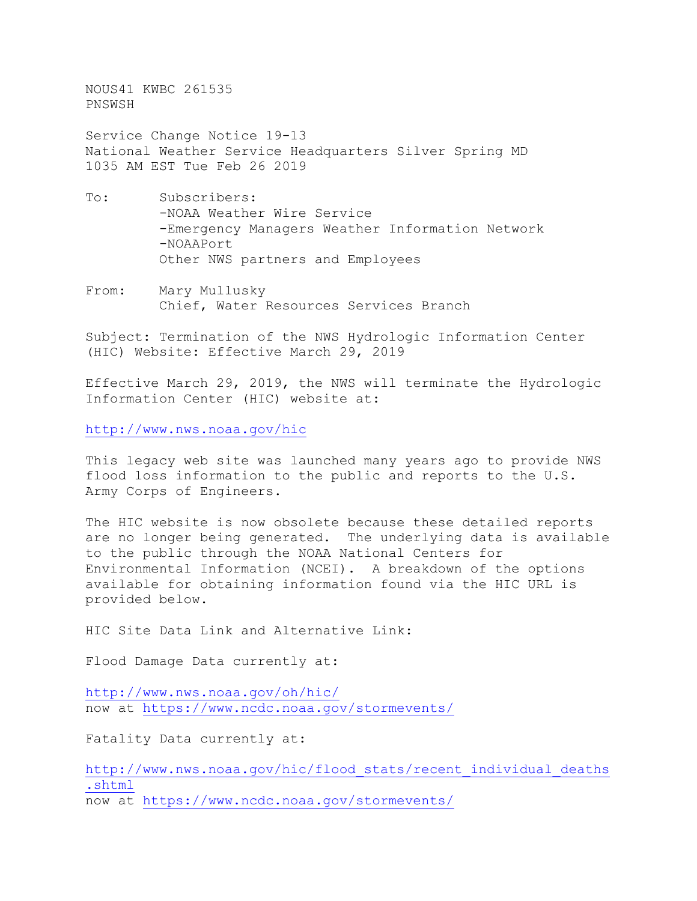NOUS41 KWBC 261535 PNSWSH

Service Change Notice 19-13 National Weather Service Headquarters Silver Spring MD 1035 AM EST Tue Feb 26 2019

- To: Subscribers: -NOAA Weather Wire Service -Emergency Managers Weather Information Network -NOAAPort Other NWS partners and Employees
- From: Mary Mullusky Chief, Water Resources Services Branch

Subject: Termination of the NWS Hydrologic Information Center (HIC) Website: Effective March 29, 2019

Effective March 29, 2019, the NWS will terminate the Hydrologic Information Center (HIC) website at:

<http://www.nws.noaa.gov/hic>

This legacy web site was launched many years ago to provide NWS flood loss information to the public and reports to the U.S. Army Corps of Engineers.

The HIC website is now obsolete because these detailed reports are no longer being generated. The underlying data is available to the public through the NOAA National Centers for Environmental Information (NCEI). A breakdown of the options available for obtaining information found via the HIC URL is provided below.

HIC Site Data Link and Alternative Link:

Flood Damage Data currently at:

<http://www.nws.noaa.gov/oh/hic/> now at<https://www.ncdc.noaa.gov/stormevents/>

Fatality Data currently at:

[http://www.nws.noaa.gov/hic/flood\\_stats/recent\\_individual\\_deaths](http://www.nws.noaa.gov/hic/flood_stats/recent_individual_deaths.shtml) [.shtml](http://www.nws.noaa.gov/hic/flood_stats/recent_individual_deaths.shtml) now at<https://www.ncdc.noaa.gov/stormevents/>